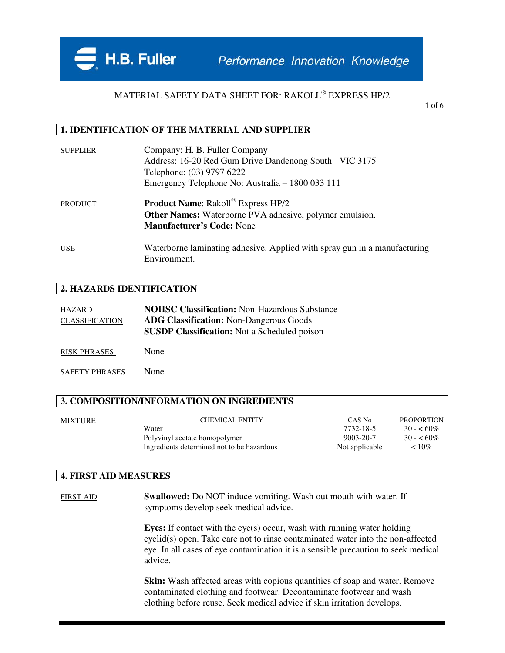Performance Innovation Knowledge

## MATERIAL SAFETY DATA SHEET FOR: RAKOLL EXPRESS HP/2

1 of 6

#### **1. IDENTIFICATION OF THE MATERIAL AND SUPPLIER**

| <b>SUPPLIER</b> | Company: H. B. Fuller Company<br>Address: 16-20 Red Gum Drive Dandenong South VIC 3175<br>Telephone: (03) 9797 6222<br>Emergency Telephone No: Australia – 1800 033 111 |
|-----------------|-------------------------------------------------------------------------------------------------------------------------------------------------------------------------|
| <b>PRODUCT</b>  | <b>Product Name:</b> Rakoll® Express HP/2<br><b>Other Names:</b> Waterborne PVA adhesive, polymer emulsion.<br><b>Manufacturer's Code: None</b>                         |
| <b>USE</b>      | Waterborne laminating adhesive. Applied with spray gun in a manufacturing<br>Environment.                                                                               |

#### **2. HAZARDS IDENTIFICATION**

H.B. Fuller

| HAZARD                | <b>NOHSC Classification: Non-Hazardous Substance</b> |
|-----------------------|------------------------------------------------------|
| <b>CLASSIFICATION</b> | <b>ADG Classification:</b> Non-Dangerous Goods       |
|                       | <b>SUSDP Classification:</b> Not a Scheduled poison  |

RISK PHRASES None

SAFETY PHRASES None

### **3. COMPOSITION/INFORMATION ON INGREDIENTS**

| MIXTURE | <b>CHEMICAL ENTITY</b>                     | CAS No          | <b>PROPORTION</b> |
|---------|--------------------------------------------|-----------------|-------------------|
|         | Water                                      | 7732-18-5       | $30 - 60\%$       |
|         | Polyvinyl acetate homopolymer              | $9003 - 20 - 7$ | $30 - 60\%$       |
|         | Ingredients determined not to be hazardous | Not applicable  | $< 10\%$          |
|         |                                            |                 |                   |

### **4. FIRST AID MEASURES**

FIRST AID **Swallowed:** Do NOT induce vomiting. Wash out mouth with water. If symptoms develop seek medical advice.

> **Eyes:** If contact with the eye(s) occur, wash with running water holding eyelid(s) open. Take care not to rinse contaminated water into the non-affected eye. In all cases of eye contamination it is a sensible precaution to seek medical advice.

**Skin:** Wash affected areas with copious quantities of soap and water. Remove contaminated clothing and footwear. Decontaminate footwear and wash clothing before reuse. Seek medical advice if skin irritation develops.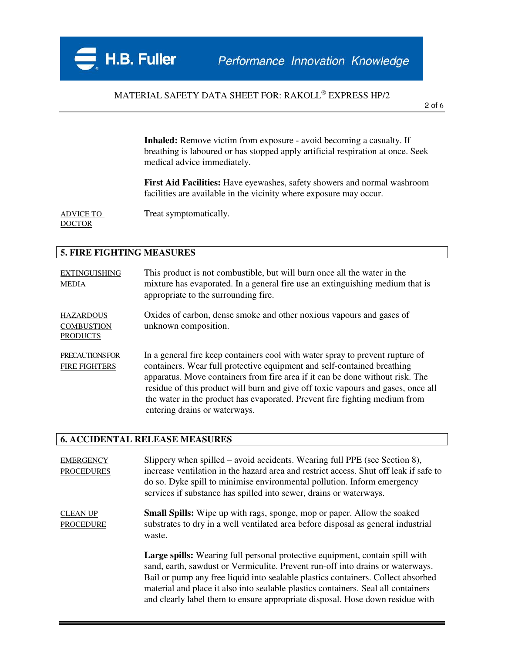## MATERIAL SAFETY DATA SHEET FOR: RAKOLL EXPRESS HP/2

2 of 6

**Inhaled:** Remove victim from exposure - avoid becoming a casualty. If breathing is laboured or has stopped apply artificial respiration at once. Seek medical advice immediately.

**First Aid Facilities:** Have eyewashes, safety showers and normal washroom facilities are available in the vicinity where exposure may occur.

**DOCTOR** 

ADVICE TO Treat symptomatically.

# **5. FIRE FIGHTING MEASURES**

| <b>EXTINGUISHING</b><br><b>MEDIA</b>                     | This product is not combustible, but will burn once all the water in the<br>mixture has evaporated. In a general fire use an extinguishing medium that is<br>appropriate to the surrounding fire.                                                                                                                                                                                                                                            |
|----------------------------------------------------------|----------------------------------------------------------------------------------------------------------------------------------------------------------------------------------------------------------------------------------------------------------------------------------------------------------------------------------------------------------------------------------------------------------------------------------------------|
| <b>HAZARDOUS</b><br><b>COMBUSTION</b><br><b>PRODUCTS</b> | Oxides of carbon, dense smoke and other noxious vapours and gases of<br>unknown composition.                                                                                                                                                                                                                                                                                                                                                 |
| PRECAUTIONS FOR<br><b>FIRE FIGHTERS</b>                  | In a general fire keep containers cool with water spray to prevent rupture of<br>containers. Wear full protective equipment and self-contained breathing<br>apparatus. Move containers from fire area if it can be done without risk. The<br>residue of this product will burn and give off toxic vapours and gases, once all<br>the water in the product has evaporated. Prevent fire fighting medium from<br>entering drains or waterways. |

### **6. ACCIDENTAL RELEASE MEASURES**

| <b>EMERGENCY</b><br><b>PROCEDURES</b> | Slippery when spilled – avoid accidents. Wearing full PPE (see Section 8),<br>increase ventilation in the hazard area and restrict access. Shut off leak if safe to<br>do so. Dyke spill to minimise environmental pollution. Inform emergency<br>services if substance has spilled into sewer, drains or waterways.                                                                                                     |
|---------------------------------------|--------------------------------------------------------------------------------------------------------------------------------------------------------------------------------------------------------------------------------------------------------------------------------------------------------------------------------------------------------------------------------------------------------------------------|
| <b>CLEAN UP</b><br><b>PROCEDURE</b>   | <b>Small Spills:</b> Wipe up with rags, sponge, mop or paper. Allow the soaked<br>substrates to dry in a well ventilated area before disposal as general industrial<br>waste.                                                                                                                                                                                                                                            |
|                                       | Large spills: Wearing full personal protective equipment, contain spill with<br>sand, earth, sawdust or Vermiculite. Prevent run-off into drains or waterways.<br>Bail or pump any free liquid into sealable plastics containers. Collect absorbed<br>material and place it also into sealable plastics containers. Seal all containers<br>and clearly label them to ensure appropriate disposal. Hose down residue with |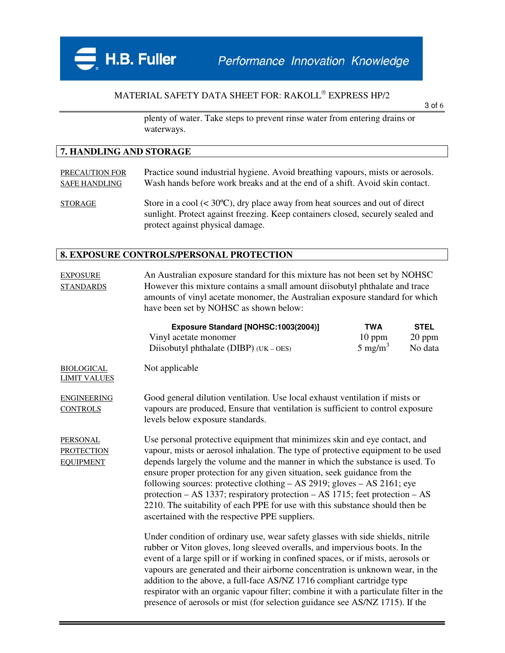

## MATERIAL SAFETY DATA SHEET FOR: RAKOLL EXPRESS HP/2

3 of 6

plenty of water. Take steps to prevent rinse water from entering drains or waterways.

### **7. HANDLING AND STORAGE**

| PRECAUTION FOR       | Practice sound industrial hygiene. Avoid breathing vapours, mists or aerosols.         |
|----------------------|----------------------------------------------------------------------------------------|
| <b>SAFE HANDLING</b> | Wash hands before work breaks and at the end of a shift. Avoid skin contact.           |
| <b>STORAGE</b>       | Store in a cool $(< 30^{\circ}C)$ , dry place away from heat sources and out of direct |
|                      | sunlight. Protect against freezing. Keep containers closed, securely sealed and        |

#### **8. EXPOSURE CONTROLS/PERSONAL PROTECTION**

protect against physical damage.

| <b>EXPOSURE</b><br><b>STANDARDS</b>                      | An Australian exposure standard for this mixture has not been set by NOHSC<br>However this mixture contains a small amount diisobutyl phthalate and trace<br>amounts of vinyl acetate monomer, the Australian exposure standard for which<br>have been set by NOHSC as shown below: |                                              |                                    |
|----------------------------------------------------------|-------------------------------------------------------------------------------------------------------------------------------------------------------------------------------------------------------------------------------------------------------------------------------------|----------------------------------------------|------------------------------------|
|                                                          | Exposure Standard [NOHSC:1003(2004)]<br>Vinyl acetate monomer<br>Diisobutyl phthalate ( $DIBP$ ) ( $UK - OES$ )                                                                                                                                                                     | <b>TWA</b><br>$10$ ppm<br>$5 \text{ mg/m}^3$ | <b>STEL</b><br>$20$ ppm<br>No data |
| <b>BIOLOGICAL</b><br><b>LIMIT VALUES</b>                 | Not applicable                                                                                                                                                                                                                                                                      |                                              |                                    |
| <b>ENGINEERING</b><br><b>CONTROLS</b>                    | Good general dilution ventilation. Use local exhaust ventilation if mists or<br>vapours are produced, Ensure that ventilation is sufficient to control exposure<br>levels below exposure standards.                                                                                 |                                              |                                    |
| <b>PERSONAL</b><br><b>PROTECTION</b><br><b>EOUIDMENT</b> | Use personal protective equipment that minimizes skin and eye contact, and<br>vapour, mists or aerosol inhalation. The type of protective equipment to be used<br>depends largely the volume and the manner in which the substance is used. To                                      |                                              |                                    |

 $UIPMENT$  depends largely the volume and the manner in which the substance is used. To ensure proper protection for any given situation, seek guidance from the following sources: protective clothing – AS 2919; gloves – AS 2161; eye protection – AS 1337; respiratory protection – AS 1715; feet protection – AS 2210. The suitability of each PPE for use with this substance should then be ascertained with the respective PPE suppliers.

> Under condition of ordinary use, wear safety glasses with side shields, nitrile rubber or Viton gloves, long sleeved overalls, and impervious boots. In the event of a large spill or if working in confined spaces, or if mists, aerosols or vapours are generated and their airborne concentration is unknown wear, in the addition to the above, a full-face AS/NZ 1716 compliant cartridge type respirator with an organic vapour filter; combine it with a particulate filter in the presence of aerosols or mist (for selection guidance see AS/NZ 1715). If the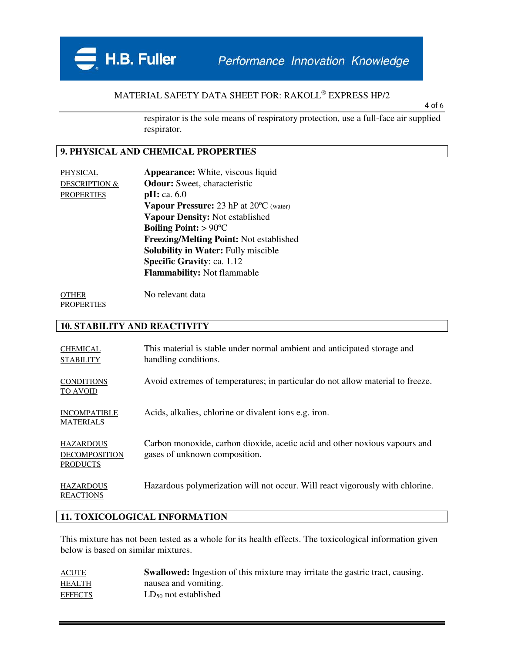Performance Innovation Knowledge

## MATERIAL SAFETY DATA SHEET FOR: RAKOLL EXPRESS HP/2

4 of 6

respirator is the sole means of respiratory protection, use a full-face air supplied respirator.

### **9. PHYSICAL AND CHEMICAL PROPERTIES**

H.B. Fuller

PHYSICAL **Appearance:** White, viscous liquid DESCRIPTION & **Odour:** Sweet, characteristic PROPERTIES **pH:** ca. 6.0 **Vapour Pressure:** 23 hP at 20ºC (water) **Vapour Density:** Not established **Boiling Point:** > 90ºC **Freezing/Melting Point:** Not established **Solubility in Water:** Fully miscible **Specific Gravity**: ca. 1.12 **Flammability:** Not flammable

OTHER No relevant data **PROPERTIES** 

#### **10. STABILITY AND REACTIVITY**

| <b>CHEMICAL</b><br><b>STABILITY</b>                         | This material is stable under normal ambient and anticipated storage and<br>handling conditions.            |
|-------------------------------------------------------------|-------------------------------------------------------------------------------------------------------------|
| <b>CONDITIONS</b><br><b>TO AVOID</b>                        | Avoid extremes of temperatures; in particular do not allow material to freeze.                              |
| <b>INCOMPATIBLE</b><br><b>MATERIALS</b>                     | Acids, alkalies, chlorine or divalent ions e.g. iron.                                                       |
| <b>HAZARDOUS</b><br><b>DECOMPOSITION</b><br><b>PRODUCTS</b> | Carbon monoxide, carbon dioxide, acetic acid and other noxious vapours and<br>gases of unknown composition. |
| <b>HAZARDOUS</b><br><b>REACTIONS</b>                        | Hazardous polymerization will not occur. Will react vigorously with chlorine.                               |

### **11. TOXICOLOGICAL INFORMATION**

This mixture has not been tested as a whole for its health effects. The toxicological information given below is based on similar mixtures.

| <b>ACUTE</b>   | <b>Swallowed:</b> Ingestion of this mixture may irritate the gastric tract, causing. |
|----------------|--------------------------------------------------------------------------------------|
| <b>HEALTH</b>  | nausea and vomiting.                                                                 |
| <b>EFFECTS</b> | $LD_{50}$ not established                                                            |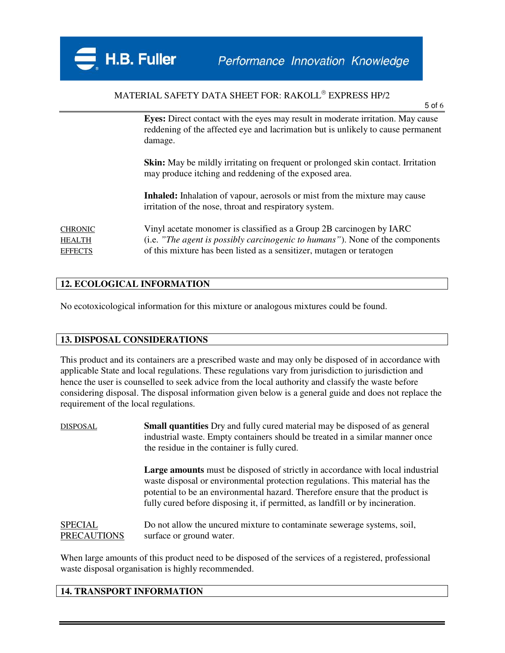## MATERIAL SAFETY DATA SHEET FOR: RAKOLL EXPRESS HP/2

5 of 6

**Eyes:** Direct contact with the eyes may result in moderate irritation. May cause reddening of the affected eye and lacrimation but is unlikely to cause permanent damage.

**Skin:** May be mildly irritating on frequent or prolonged skin contact. Irritation may produce itching and reddening of the exposed area.

**Inhaled:** Inhalation of vapour, aerosols or mist from the mixture may cause irritation of the nose, throat and respiratory system.

CHRONIC Vinyl acetate monomer is classified as a Group 2B carcinogen by IARC HEALTH (i.e. *"The agent is possibly carcinogenic to humans"*). None of the components EFFECTS of this mixture has been listed as a sensitizer, mutagen or teratogen

### **12. ECOLOGICAL INFORMATION**

No ecotoxicological information for this mixture or analogous mixtures could be found.

### **13. DISPOSAL CONSIDERATIONS**

This product and its containers are a prescribed waste and may only be disposed of in accordance with applicable State and local regulations. These regulations vary from jurisdiction to jurisdiction and hence the user is counselled to seek advice from the local authority and classify the waste before considering disposal. The disposal information given below is a general guide and does not replace the requirement of the local regulations.

| DISPOSAL                      | <b>Small quantities</b> Dry and fully cured material may be disposed of as general<br>industrial waste. Empty containers should be treated in a similar manner once<br>the residue in the container is fully cured.                                                                                                                       |
|-------------------------------|-------------------------------------------------------------------------------------------------------------------------------------------------------------------------------------------------------------------------------------------------------------------------------------------------------------------------------------------|
|                               | <b>Large amounts</b> must be disposed of strictly in accordance with local industrial<br>waste disposal or environmental protection regulations. This material has the<br>potential to be an environmental hazard. Therefore ensure that the product is<br>fully cured before disposing it, if permitted, as landfill or by incineration. |
| SPECIAL<br><b>PRECAUTIONS</b> | Do not allow the uncurred mixture to contaminate sewerage systems, soil,<br>surface or ground water.                                                                                                                                                                                                                                      |

When large amounts of this product need to be disposed of the services of a registered, professional waste disposal organisation is highly recommended.

### **14. TRANSPORT INFORMATION**